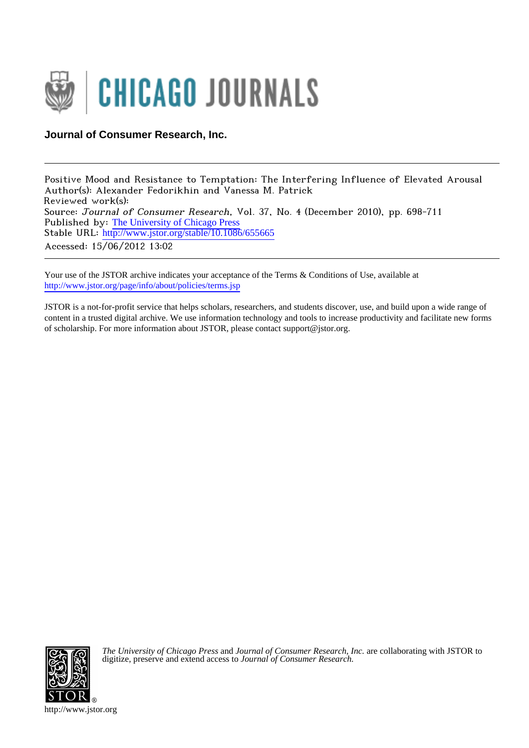

# **Journal of Consumer Research, Inc.**

Positive Mood and Resistance to Temptation: The Interfering Influence of Elevated Arousal Author(s): Alexander Fedorikhin and Vanessa M. Patrick Reviewed work(s): Source: Journal of Consumer Research, Vol. 37, No. 4 (December 2010), pp. 698-711 Published by: [The University of Chicago Press](http://www.jstor.org/action/showPublisher?publisherCode=ucpress) Stable URL: http://www.jstor.org/stable/10.1086/655665 Accessed: 15/06/2012 13:02

Your use of the JSTOR archive indicates your acceptance of the Terms & Conditions of Use, available at <http://www.jstor.org/page/info/about/policies/terms.jsp>

JSTOR is a not-for-profit service that helps scholars, researchers, and students discover, use, and build upon a wide range of content in a trusted digital archive. We use information technology and tools to increase productivity and facilitate new forms of scholarship. For more information about JSTOR, please contact support@jstor.org.



*The University of Chicago Press* and *Journal of Consumer Research, Inc.* are collaborating with JSTOR to digitize, preserve and extend access to *Journal of Consumer Research.*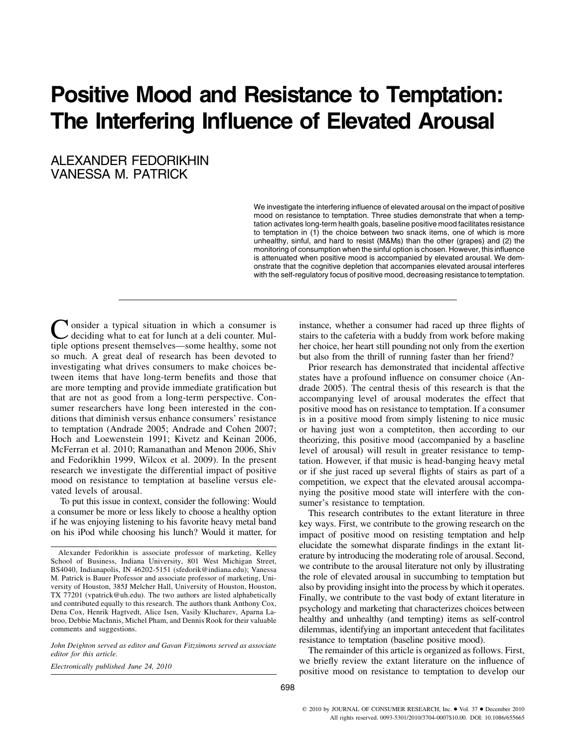# **Positive Mood and Resistance to Temptation: The Interfering Influence of Elevated Arousal**

ALEXANDER FEDORIKHIN VANESSA M. PATRICK

> We investigate the interfering influence of elevated arousal on the impact of positive mood on resistance to temptation. Three studies demonstrate that when a temptation activates long-term health goals, baseline positive mood facilitates resistance to temptation in (1) the choice between two snack items, one of which is more unhealthy, sinful, and hard to resist (M&Ms) than the other (grapes) and (2) the monitoring of consumption when the sinful option is chosen. However, this influence is attenuated when positive mood is accompanied by elevated arousal. We demonstrate that the cognitive depletion that accompanies elevated arousal interferes with the self-regulatory focus of positive mood, decreasing resistance to temptation.

Consider a typical situation in which a consumer is<br>deciding what to eat for lunch at a deli counter. Multiple options present themselves—some healthy, some not so much. A great deal of research has been devoted to investigating what drives consumers to make choices between items that have long-term benefits and those that are more tempting and provide immediate gratification but that are not as good from a long-term perspective. Consumer researchers have long been interested in the conditions that diminish versus enhance consumers' resistance to temptation (Andrade 2005; Andrade and Cohen 2007; Hoch and Loewenstein 1991; Kivetz and Keinan 2006, McFerran et al. 2010; Ramanathan and Menon 2006, Shiv and Fedorikhin 1999, Wilcox et al. 2009). In the present research we investigate the differential impact of positive mood on resistance to temptation at baseline versus elevated levels of arousal.

To put this issue in context, consider the following: Would a consumer be more or less likely to choose a healthy option if he was enjoying listening to his favorite heavy metal band on his iPod while choosing his lunch? Would it matter, for

*John Deighton served as editor and Gavan Fitzsimons served as associate editor for this article.*

*Electronically published June 24, 2010*

instance, whether a consumer had raced up three flights of stairs to the cafeteria with a buddy from work before making her choice, her heart still pounding not only from the exertion but also from the thrill of running faster than her friend?

Prior research has demonstrated that incidental affective states have a profound influence on consumer choice (Andrade 2005). The central thesis of this research is that the accompanying level of arousal moderates the effect that positive mood has on resistance to temptation. If a consumer is in a positive mood from simply listening to nice music or having just won a comptetiton, then according to our theorizing, this positive mood (accompanied by a baseline level of arousal) will result in greater resistance to temptation. However, if that music is head-banging heavy metal or if she just raced up several flights of stairs as part of a competition, we expect that the elevated arousal accompanying the positive mood state will interfere with the consumer's resistance to temptation.

This research contributes to the extant literature in three key ways. First, we contribute to the growing research on the impact of positive mood on resisting temptation and help elucidate the somewhat disparate findings in the extant literature by introducing the moderating role of arousal. Second, we contribute to the arousal literature not only by illustrating the role of elevated arousal in succumbing to temptation but also by providing insight into the process by which it operates. Finally, we contribute to the vast body of extant literature in psychology and marketing that characterizes choices between healthy and unhealthy (and tempting) items as self-control dilemmas, identifying an important antecedent that facilitates resistance to temptation (baseline positive mood).

The remainder of this article is organized as follows. First, we briefly review the extant literature on the influence of positive mood on resistance to temptation to develop our

Alexander Fedorikhin is associate professor of marketing, Kelley School of Business, Indiana University, 801 West Michigan Street, BS4040, Indianapolis, IN 46202-5151 (sfedorik@indiana.edu); Vanessa M. Patrick is Bauer Professor and associate professor of marketing, University of Houston, 385J Melcher Hall, University of Houston, Houston, TX 77201 (vpatrick@uh.edu). The two authors are listed alphabetically and contributed equally to this research. The authors thank Anthony Cox, Dena Cox, Henrik Hagtvedt, Alice Isen, Vasily Klucharev, Aparna Labroo, Debbie MacInnis, Michel Pham, and Dennis Rook for their valuable comments and suggestions.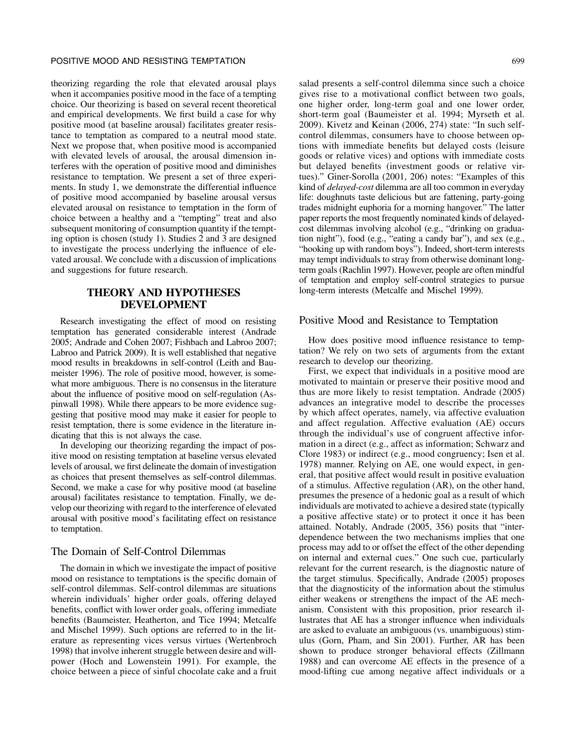#### POSITIVE MOOD AND RESISTING TEMPTATION 699

theorizing regarding the role that elevated arousal plays when it accompanies positive mood in the face of a tempting choice. Our theorizing is based on several recent theoretical and empirical developments. We first build a case for why positive mood (at baseline arousal) facilitates greater resistance to temptation as compared to a neutral mood state. Next we propose that, when positive mood is accompanied with elevated levels of arousal, the arousal dimension interferes with the operation of positive mood and diminishes resistance to temptation. We present a set of three experiments. In study 1, we demonstrate the differential influence of positive mood accompanied by baseline arousal versus elevated arousal on resistance to temptation in the form of choice between a healthy and a "tempting" treat and also subsequent monitoring of consumption quantity if the tempting option is chosen (study 1). Studies 2 and 3 are designed to investigate the process underlying the influence of elevated arousal. We conclude with a discussion of implications and suggestions for future research.

## **THEORY AND HYPOTHESES DEVELOPMENT**

Research investigating the effect of mood on resisting temptation has generated considerable interest (Andrade 2005; Andrade and Cohen 2007; Fishbach and Labroo 2007; Labroo and Patrick 2009). It is well established that negative mood results in breakdowns in self-control (Leith and Baumeister 1996). The role of positive mood, however, is somewhat more ambiguous. There is no consensus in the literature about the influence of positive mood on self-regulation (Aspinwall 1998). While there appears to be more evidence suggesting that positive mood may make it easier for people to resist temptation, there is some evidence in the literature indicating that this is not always the case.

In developing our theorizing regarding the impact of positive mood on resisting temptation at baseline versus elevated levels of arousal, we first delineate the domain of investigation as choices that present themselves as self-control dilemmas. Second, we make a case for why positive mood (at baseline arousal) facilitates resistance to temptation. Finally, we develop our theorizing with regard to the interference of elevated arousal with positive mood's facilitating effect on resistance to temptation.

## The Domain of Self-Control Dilemmas

The domain in which we investigate the impact of positive mood on resistance to temptations is the specific domain of self-control dilemmas. Self-control dilemmas are situations wherein individuals' higher order goals, offering delayed benefits, conflict with lower order goals, offering immediate benefits (Baumeister, Heatherton, and Tice 1994; Metcalfe and Mischel 1999). Such options are referred to in the literature as representing vices versus virtues (Wertenbroch 1998) that involve inherent struggle between desire and willpower (Hoch and Lowenstein 1991). For example, the choice between a piece of sinful chocolate cake and a fruit

salad presents a self-control dilemma since such a choice gives rise to a motivational conflict between two goals, one higher order, long-term goal and one lower order, short-term goal (Baumeister et al. 1994; Myrseth et al. 2009). Kivetz and Keinan (2006, 274) state: "In such selfcontrol dilemmas, consumers have to choose between options with immediate benefits but delayed costs (leisure goods or relative vices) and options with immediate costs but delayed benefits (investment goods or relative virtues)." Giner-Sorolla (2001, 206) notes: "Examples of this kind of *delayed-cost* dilemma are all too common in everyday life: doughnuts taste delicious but are fattening, party-going trades midnight euphoria for a morning hangover." The latter paper reports the most frequently nominated kinds of delayedcost dilemmas involving alcohol (e.g., "drinking on gradua-

tion night"), food (e.g., "eating a candy bar"), and sex (e.g., "hooking up with random boys"). Indeed, short-term interests may tempt individuals to stray from otherwise dominant longterm goals (Rachlin 1997). However, people are often mindful of temptation and employ self-control strategies to pursue long-term interests (Metcalfe and Mischel 1999).

#### Positive Mood and Resistance to Temptation

How does positive mood influence resistance to temptation? We rely on two sets of arguments from the extant research to develop our theorizing.

First, we expect that individuals in a positive mood are motivated to maintain or preserve their positive mood and thus are more likely to resist temptation. Andrade (2005) advances an integrative model to describe the processes by which affect operates, namely, via affective evaluation and affect regulation. Affective evaluation (AE) occurs through the individual's use of congruent affective information in a direct (e.g., affect as information; Schwarz and Clore 1983) or indirect (e.g., mood congruency; Isen et al. 1978) manner. Relying on AE, one would expect, in general, that positive affect would result in positive evaluation of a stimulus. Affective regulation (AR), on the other hand, presumes the presence of a hedonic goal as a result of which individuals are motivated to achieve a desired state (typically a positive affective state) or to protect it once it has been attained. Notably, Andrade (2005, 356) posits that "interdependence between the two mechanisms implies that one process may add to or offset the effect of the other depending on internal and external cues." One such cue, particularly relevant for the current research, is the diagnostic nature of the target stimulus. Specifically, Andrade (2005) proposes that the diagnosticity of the information about the stimulus either weakens or strengthens the impact of the AE mechanism. Consistent with this proposition, prior research illustrates that AE has a stronger influence when individuals are asked to evaluate an ambiguous (vs. unambiguous) stimulus (Gorn, Pham, and Sin 2001). Further, AR has been shown to produce stronger behavioral effects (Zillmann 1988) and can overcome AE effects in the presence of a mood-lifting cue among negative affect individuals or a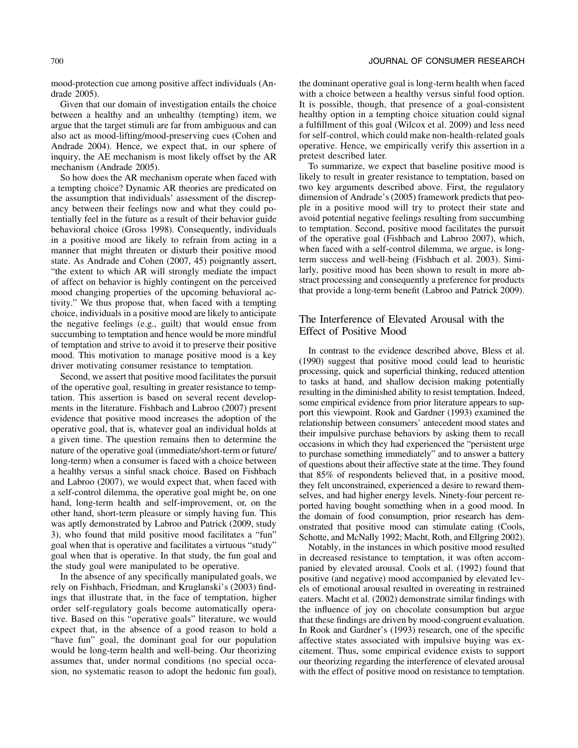mood-protection cue among positive affect individuals (Andrade 2005).

Given that our domain of investigation entails the choice between a healthy and an unhealthy (tempting) item, we argue that the target stimuli are far from ambiguous and can also act as mood-lifting/mood-preserving cues (Cohen and Andrade 2004). Hence, we expect that, in our sphere of inquiry, the AE mechanism is most likely offset by the AR mechanism (Andrade 2005).

So how does the AR mechanism operate when faced with a tempting choice? Dynamic AR theories are predicated on the assumption that individuals' assessment of the discrepancy between their feelings now and what they could potentially feel in the future as a result of their behavior guide behavioral choice (Gross 1998). Consequently, individuals in a positive mood are likely to refrain from acting in a manner that might threaten or disturb their positive mood state. As Andrade and Cohen (2007, 45) poignantly assert, "the extent to which AR will strongly mediate the impact of affect on behavior is highly contingent on the perceived mood changing properties of the upcoming behavioral activity." We thus propose that, when faced with a tempting choice, individuals in a positive mood are likely to anticipate the negative feelings (e.g., guilt) that would ensue from succumbing to temptation and hence would be more mindful of temptation and strive to avoid it to preserve their positive mood. This motivation to manage positive mood is a key driver motivating consumer resistance to temptation.

Second, we assert that positive mood facilitates the pursuit of the operative goal, resulting in greater resistance to temptation. This assertion is based on several recent developments in the literature. Fishbach and Labroo (2007) present evidence that positive mood increases the adoption of the operative goal, that is, whatever goal an individual holds at a given time. The question remains then to determine the nature of the operative goal (immediate/short-term or future/ long-term) when a consumer is faced with a choice between a healthy versus a sinful snack choice. Based on Fishbach and Labroo (2007), we would expect that, when faced with a self-control dilemma, the operative goal might be, on one hand, long-term health and self-improvement, or, on the other hand, short-term pleasure or simply having fun. This was aptly demonstrated by Labroo and Patrick (2009, study 3), who found that mild positive mood facilitates a "fun" goal when that is operative and facilitates a virtuous "study" goal when that is operative. In that study, the fun goal and the study goal were manipulated to be operative.

In the absence of any specifically manipulated goals, we rely on Fishbach, Friedman, and Kruglanski's (2003) findings that illustrate that, in the face of temptation, higher order self-regulatory goals become automatically operative. Based on this "operative goals" literature, we would expect that, in the absence of a good reason to hold a "have fun" goal, the dominant goal for our population would be long-term health and well-being. Our theorizing assumes that, under normal conditions (no special occasion, no systematic reason to adopt the hedonic fun goal), the dominant operative goal is long-term health when faced with a choice between a healthy versus sinful food option. It is possible, though, that presence of a goal-consistent healthy option in a tempting choice situation could signal a fulfillment of this goal (Wilcox et al. 2009) and less need for self-control, which could make non-health-related goals operative. Hence, we empirically verify this assertion in a pretest described later.

To summarize, we expect that baseline positive mood is likely to result in greater resistance to temptation, based on two key arguments described above. First, the regulatory dimension of Andrade's (2005) framework predicts that people in a positive mood will try to protect their state and avoid potential negative feelings resulting from succumbing to temptation. Second, positive mood facilitates the pursuit of the operative goal (Fishbach and Labroo 2007), which, when faced with a self-control dilemma, we argue, is longterm success and well-being (Fishbach et al. 2003). Similarly, positive mood has been shown to result in more abstract processing and consequently a preference for products that provide a long-term benefit (Labroo and Patrick 2009).

## The Interference of Elevated Arousal with the Effect of Positive Mood

In contrast to the evidence described above, Bless et al. (1990) suggest that positive mood could lead to heuristic processing, quick and superficial thinking, reduced attention to tasks at hand, and shallow decision making potentially resulting in the diminished ability to resist temptation. Indeed, some empirical evidence from prior literature appears to support this viewpoint. Rook and Gardner (1993) examined the relationship between consumers' antecedent mood states and their impulsive purchase behaviors by asking them to recall occasions in which they had experienced the "persistent urge to purchase something immediately" and to answer a battery of questions about their affective state at the time. They found that 85% of respondents believed that, in a positive mood, they felt unconstrained, experienced a desire to reward themselves, and had higher energy levels. Ninety-four percent reported having bought something when in a good mood. In the domain of food consumption, prior research has demonstrated that positive mood can stimulate eating (Cools, Schotte, and McNally 1992; Macht, Roth, and Ellgring 2002).

Notably, in the instances in which positive mood resulted in decreased resistance to temptation, it was often accompanied by elevated arousal. Cools et al. (1992) found that positive (and negative) mood accompanied by elevated levels of emotional arousal resulted in overeating in restrained eaters. Macht et al. (2002) demonstrate similar findings with the influence of joy on chocolate consumption but argue that these findings are driven by mood-congruent evaluation. In Rook and Gardner's (1993) research, one of the specific affective states associated with impulsive buying was excitement. Thus, some empirical evidence exists to support our theorizing regarding the interference of elevated arousal with the effect of positive mood on resistance to temptation.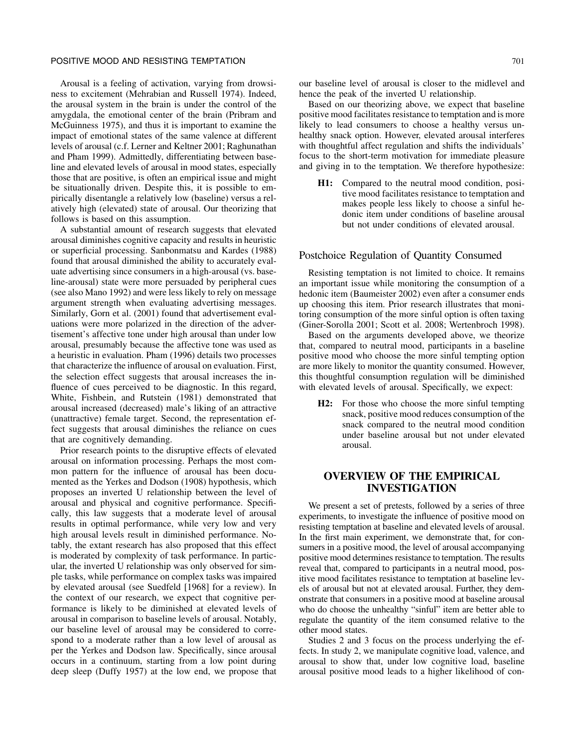#### POSITIVE MOOD AND RESISTING TEMPTATION **FOULD A SET A SET AND RESISTING** TO 1

Arousal is a feeling of activation, varying from drowsiness to excitement (Mehrabian and Russell 1974). Indeed, the arousal system in the brain is under the control of the amygdala, the emotional center of the brain (Pribram and McGuinness 1975), and thus it is important to examine the impact of emotional states of the same valence at different levels of arousal (c.f. Lerner and Keltner 2001; Raghunathan and Pham 1999). Admittedly, differentiating between baseline and elevated levels of arousal in mood states, especially those that are positive, is often an empirical issue and might be situationally driven. Despite this, it is possible to empirically disentangle a relatively low (baseline) versus a relatively high (elevated) state of arousal. Our theorizing that follows is based on this assumption.

A substantial amount of research suggests that elevated arousal diminishes cognitive capacity and results in heuristic or superficial processing. Sanbonmatsu and Kardes (1988) found that arousal diminished the ability to accurately evaluate advertising since consumers in a high-arousal (vs. baseline-arousal) state were more persuaded by peripheral cues (see also Mano 1992) and were less likely to rely on message argument strength when evaluating advertising messages. Similarly, Gorn et al. (2001) found that advertisement evaluations were more polarized in the direction of the advertisement's affective tone under high arousal than under low arousal, presumably because the affective tone was used as a heuristic in evaluation. Pham (1996) details two processes that characterize the influence of arousal on evaluation. First, the selection effect suggests that arousal increases the influence of cues perceived to be diagnostic. In this regard, White, Fishbein, and Rutstein (1981) demonstrated that arousal increased (decreased) male's liking of an attractive (unattractive) female target. Second, the representation effect suggests that arousal diminishes the reliance on cues that are cognitively demanding.

Prior research points to the disruptive effects of elevated arousal on information processing. Perhaps the most common pattern for the influence of arousal has been documented as the Yerkes and Dodson (1908) hypothesis, which proposes an inverted U relationship between the level of arousal and physical and cognitive performance. Specifically, this law suggests that a moderate level of arousal results in optimal performance, while very low and very high arousal levels result in diminished performance. Notably, the extant research has also proposed that this effect is moderated by complexity of task performance. In particular, the inverted U relationship was only observed for simple tasks, while performance on complex tasks was impaired by elevated arousal (see Suedfeld [1968] for a review). In the context of our research, we expect that cognitive performance is likely to be diminished at elevated levels of arousal in comparison to baseline levels of arousal. Notably, our baseline level of arousal may be considered to correspond to a moderate rather than a low level of arousal as per the Yerkes and Dodson law. Specifically, since arousal occurs in a continuum, starting from a low point during deep sleep (Duffy 1957) at the low end, we propose that

our baseline level of arousal is closer to the midlevel and hence the peak of the inverted U relationship.

Based on our theorizing above, we expect that baseline positive mood facilitates resistance to temptation and is more likely to lead consumers to choose a healthy versus unhealthy snack option. However, elevated arousal interferes with thoughtful affect regulation and shifts the individuals' focus to the short-term motivation for immediate pleasure and giving in to the temptation. We therefore hypothesize:

**H1:** Compared to the neutral mood condition, positive mood facilitates resistance to temptation and makes people less likely to choose a sinful hedonic item under conditions of baseline arousal but not under conditions of elevated arousal.

## Postchoice Regulation of Quantity Consumed

Resisting temptation is not limited to choice. It remains an important issue while monitoring the consumption of a hedonic item (Baumeister 2002) even after a consumer ends up choosing this item. Prior research illustrates that monitoring consumption of the more sinful option is often taxing (Giner-Sorolla 2001; Scott et al. 2008; Wertenbroch 1998).

Based on the arguments developed above, we theorize that, compared to neutral mood, participants in a baseline positive mood who choose the more sinful tempting option are more likely to monitor the quantity consumed. However, this thoughtful consumption regulation will be diminished with elevated levels of arousal. Specifically, we expect:

**H2:** For those who choose the more sinful tempting snack, positive mood reduces consumption of the snack compared to the neutral mood condition under baseline arousal but not under elevated arousal.

## **OVERVIEW OF THE EMPIRICAL INVESTIGATION**

We present a set of pretests, followed by a series of three experiments, to investigate the influence of positive mood on resisting temptation at baseline and elevated levels of arousal. In the first main experiment, we demonstrate that, for consumers in a positive mood, the level of arousal accompanying positive mood determines resistance to temptation. The results reveal that, compared to participants in a neutral mood, positive mood facilitates resistance to temptation at baseline levels of arousal but not at elevated arousal. Further, they demonstrate that consumers in a positive mood at baseline arousal who do choose the unhealthy "sinful" item are better able to regulate the quantity of the item consumed relative to the other mood states.

Studies 2 and 3 focus on the process underlying the effects. In study 2, we manipulate cognitive load, valence, and arousal to show that, under low cognitive load, baseline arousal positive mood leads to a higher likelihood of con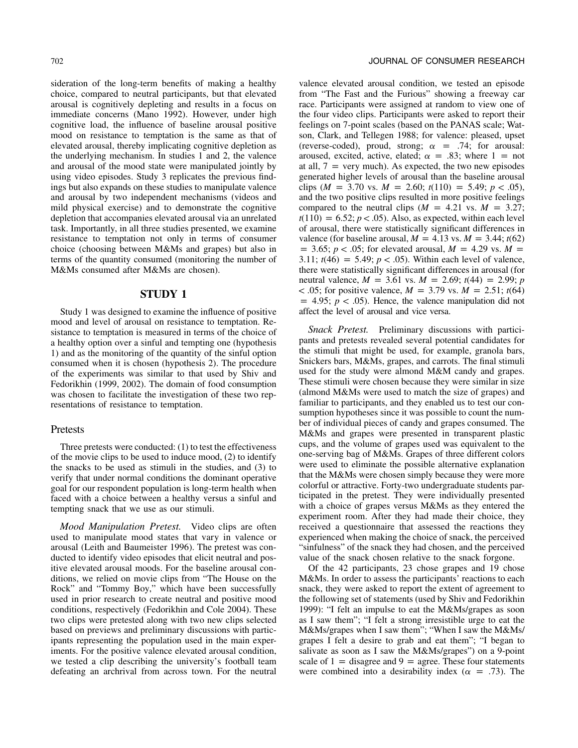sideration of the long-term benefits of making a healthy choice, compared to neutral participants, but that elevated arousal is cognitively depleting and results in a focus on immediate concerns (Mano 1992). However, under high cognitive load, the influence of baseline arousal positive mood on resistance to temptation is the same as that of elevated arousal, thereby implicating cognitive depletion as the underlying mechanism. In studies 1 and 2, the valence and arousal of the mood state were manipulated jointly by using video episodes. Study 3 replicates the previous findings but also expands on these studies to manipulate valence and arousal by two independent mechanisms (videos and mild physical exercise) and to demonstrate the cognitive depletion that accompanies elevated arousal via an unrelated task. Importantly, in all three studies presented, we examine resistance to temptation not only in terms of consumer choice (choosing between M&Ms and grapes) but also in terms of the quantity consumed (monitoring the number of M&Ms consumed after M&Ms are chosen).

#### **STUDY 1**

Study 1 was designed to examine the influence of positive mood and level of arousal on resistance to temptation. Resistance to temptation is measured in terms of the choice of a healthy option over a sinful and tempting one (hypothesis 1) and as the monitoring of the quantity of the sinful option consumed when it is chosen (hypothesis 2). The procedure of the experiments was similar to that used by Shiv and Fedorikhin (1999, 2002). The domain of food consumption was chosen to facilitate the investigation of these two representations of resistance to temptation.

#### Pretests

Three pretests were conducted: (1) to test the effectiveness of the movie clips to be used to induce mood, (2) to identify the snacks to be used as stimuli in the studies, and (3) to verify that under normal conditions the dominant operative goal for our respondent population is long-term health when faced with a choice between a healthy versus a sinful and tempting snack that we use as our stimuli.

*Mood Manipulation Pretest.* Video clips are often used to manipulate mood states that vary in valence or arousal (Leith and Baumeister 1996). The pretest was conducted to identify video episodes that elicit neutral and positive elevated arousal moods. For the baseline arousal conditions, we relied on movie clips from "The House on the Rock" and "Tommy Boy," which have been successfully used in prior research to create neutral and positive mood conditions, respectively (Fedorikhin and Cole 2004). These two clips were pretested along with two new clips selected based on previews and preliminary discussions with participants representing the population used in the main experiments. For the positive valence elevated arousal condition, we tested a clip describing the university's football team defeating an archrival from across town. For the neutral valence elevated arousal condition, we tested an episode from "The Fast and the Furious" showing a freeway car race. Participants were assigned at random to view one of the four video clips. Participants were asked to report their feelings on 7-point scales (based on the PANAS scale; Watson, Clark, and Tellegen 1988; for valence: pleased, upset (reverse-coded), proud, strong;  $\alpha = .74$ ; for arousal: aroused, excited, active, elated;  $\alpha = .83$ ; where 1 = not at all,  $7 = \text{very much}$ . As expected, the two new episodes generated higher levels of arousal than the baseline arousal clips ( $M = 3.70$  vs.  $M = 2.60$ ;  $t(110) = 5.49$ ;  $p < .05$ ), and the two positive clips resulted in more positive feelings compared to the neutral clips  $(M = 4.21 \text{ vs. } M = 3.27;$  $t(110) = 6.52$ ;  $p < .05$ ). Also, as expected, within each level of arousal, there were statistically significant differences in valence (for baseline arousal,  $M = 4.13$  vs.  $M = 3.44$ ;  $t(62)$ )  $p = 3.65$ ; *p* < .05; for elevated arousal, *M* = 4.29 vs. *M* = 3.11;  $t(46) = 5.49$ ;  $p < .05$ ). Within each level of valence, there were statistically significant differences in arousal (for neutral valence,  $M = 3.61$  vs.  $M = 2.69$ ;  $t(44) = 2.99$ ; *p*  $1 < .05$ ; for positive valence, *M* = 3.79 vs. *M* = 2.51; *t*(64)  $p = 4.95$ ;  $p < .05$ ). Hence, the valence manipulation did not affect the level of arousal and vice versa.

*Snack Pretest.* Preliminary discussions with participants and pretests revealed several potential candidates for the stimuli that might be used, for example, granola bars, Snickers bars, M&Ms, grapes, and carrots. The final stimuli used for the study were almond M&M candy and grapes. These stimuli were chosen because they were similar in size (almond M&Ms were used to match the size of grapes) and familiar to participants, and they enabled us to test our consumption hypotheses since it was possible to count the number of individual pieces of candy and grapes consumed. The M&Ms and grapes were presented in transparent plastic cups, and the volume of grapes used was equivalent to the one-serving bag of M&Ms. Grapes of three different colors were used to eliminate the possible alternative explanation that the M&Ms were chosen simply because they were more colorful or attractive. Forty-two undergraduate students participated in the pretest. They were individually presented with a choice of grapes versus M&Ms as they entered the experiment room. After they had made their choice, they received a questionnaire that assessed the reactions they experienced when making the choice of snack, the perceived "sinfulness" of the snack they had chosen, and the perceived value of the snack chosen relative to the snack forgone.

Of the 42 participants, 23 chose grapes and 19 chose M&Ms. In order to assess the participants' reactions to each snack, they were asked to report the extent of agreement to the following set of statements (used by Shiv and Fedorikhin 1999): "I felt an impulse to eat the M&Ms/grapes as soon as I saw them"; "I felt a strong irresistible urge to eat the M&Ms/grapes when I saw them"; "When I saw the M&Ms/ grapes I felt a desire to grab and eat them"; "I began to salivate as soon as I saw the M&Ms/grapes") on a 9-point scale of  $1 =$  disagree and  $9 =$  agree. These four statements were combined into a desirability index ( $\alpha = .73$ ). The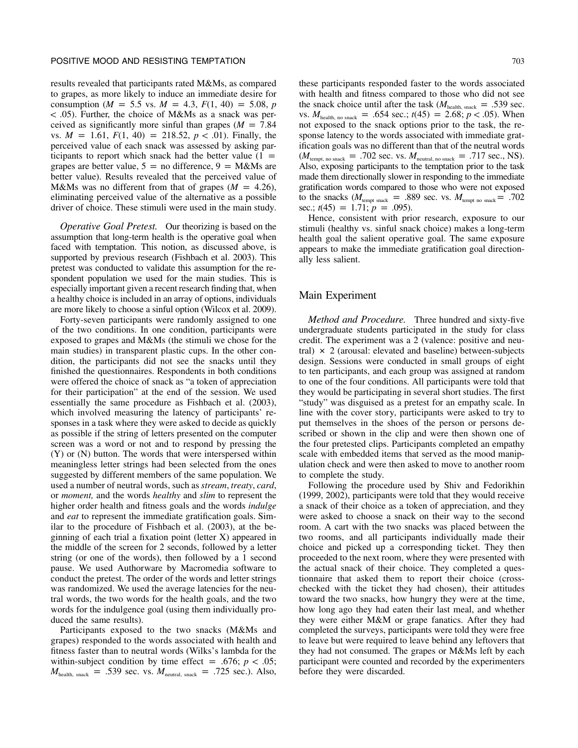results revealed that participants rated M&Ms, as compared to grapes, as more likely to induce an immediate desire for consumption ( $M = 5.5$  vs.  $M = 4.3$ ,  $F(1, 40) = 5.08$ , *p* ! .05). Further, the choice of M&Ms as a snack was perceived as significantly more sinful than grapes  $(M = 7.84)$ vs.  $M = 1.61$ ,  $F(1, 40) = 218.52$ ,  $p < .01$ ). Finally, the perceived value of each snack was assessed by asking participants to report which snack had the better value  $(1 =$ grapes are better value,  $5 =$  no difference,  $9 = M\&Ms$  are better value). Results revealed that the perceived value of M&Ms was no different from that of grapes  $(M = 4.26)$ , eliminating perceived value of the alternative as a possible driver of choice. These stimuli were used in the main study.

*Operative Goal Pretest.* Our theorizing is based on the assumption that long-term health is the operative goal when faced with temptation. This notion, as discussed above, is supported by previous research (Fishbach et al. 2003). This pretest was conducted to validate this assumption for the respondent population we used for the main studies. This is especially important given a recent research finding that, when a healthy choice is included in an array of options, individuals are more likely to choose a sinful option (Wilcox et al. 2009).

Forty-seven participants were randomly assigned to one of the two conditions. In one condition, participants were exposed to grapes and M&Ms (the stimuli we chose for the main studies) in transparent plastic cups. In the other condition, the participants did not see the snacks until they finished the questionnaires. Respondents in both conditions were offered the choice of snack as "a token of appreciation for their participation" at the end of the session. We used essentially the same procedure as Fishbach et al. (2003), which involved measuring the latency of participants' responses in a task where they were asked to decide as quickly as possible if the string of letters presented on the computer screen was a word or not and to respond by pressing the (Y) or (N) button. The words that were interspersed within meaningless letter strings had been selected from the ones suggested by different members of the same population. We used a number of neutral words, such as *stream*, *treaty*, *card*, or *moment,* and the words *healthy* and *slim* to represent the higher order health and fitness goals and the words *indulge* and *eat* to represent the immediate gratification goals. Similar to the procedure of Fishbach et al. (2003), at the beginning of each trial a fixation point (letter X) appeared in the middle of the screen for 2 seconds, followed by a letter string (or one of the words), then followed by a 1 second pause. We used Authorware by Macromedia software to conduct the pretest. The order of the words and letter strings was randomized. We used the average latencies for the neutral words, the two words for the health goals, and the two words for the indulgence goal (using them individually produced the same results).

Participants exposed to the two snacks (M&Ms and grapes) responded to the words associated with health and fitness faster than to neutral words (Wilks's lambda for the within-subject condition by time effect  $= .676; p < .05;$  $M_{\text{health, snack}} = .539 \text{ sec. vs. } M_{\text{neutral, snack}} = .725 \text{ sec.}.$  Also,

these participants responded faster to the words associated with health and fitness compared to those who did not see the snack choice until after the task ( $M_{\text{health, snack}} = .539$  sec. vs.  $M_{\text{health, no snack}} = .654 \text{ sec.}; t(45) = 2.68; p < .05$ . When not exposed to the snack options prior to the task, the response latency to the words associated with immediate gratification goals was no different than that of the neutral words  $(M_{\text{tempt, no snack}} = .702 \text{ sec. vs. } M_{\text{neutral, no snack}} = .717 \text{ sec.}, \text{NS}.$ Also, exposing participants to the temptation prior to the task made them directionally slower in responding to the immediate gratification words compared to those who were not exposed to the snacks ( $M_{\text{tempt snack}} = .889$  sec. vs.  $M_{\text{tempt no snack}} = .702$ sec.;  $t(45) = 1.71$ ;  $p = .095$ ).

Hence, consistent with prior research, exposure to our stimuli (healthy vs. sinful snack choice) makes a long-term health goal the salient operative goal. The same exposure appears to make the immediate gratification goal directionally less salient.

## Main Experiment

*Method and Procedure.* Three hundred and sixty-five undergraduate students participated in the study for class credit. The experiment was a 2 (valence: positive and neutral)  $\times$  2 (arousal: elevated and baseline) between-subjects design. Sessions were conducted in small groups of eight to ten participants, and each group was assigned at random to one of the four conditions. All participants were told that they would be participating in several short studies. The first "study" was disguised as a pretest for an empathy scale. In line with the cover story, participants were asked to try to put themselves in the shoes of the person or persons described or shown in the clip and were then shown one of the four pretested clips. Participants completed an empathy scale with embedded items that served as the mood manipulation check and were then asked to move to another room to complete the study.

Following the procedure used by Shiv and Fedorikhin (1999, 2002), participants were told that they would receive a snack of their choice as a token of appreciation, and they were asked to choose a snack on their way to the second room. A cart with the two snacks was placed between the two rooms, and all participants individually made their choice and picked up a corresponding ticket. They then proceeded to the next room, where they were presented with the actual snack of their choice. They completed a questionnaire that asked them to report their choice (crosschecked with the ticket they had chosen), their attitudes toward the two snacks, how hungry they were at the time, how long ago they had eaten their last meal, and whether they were either M&M or grape fanatics. After they had completed the surveys, participants were told they were free to leave but were required to leave behind any leftovers that they had not consumed. The grapes or M&Ms left by each participant were counted and recorded by the experimenters before they were discarded.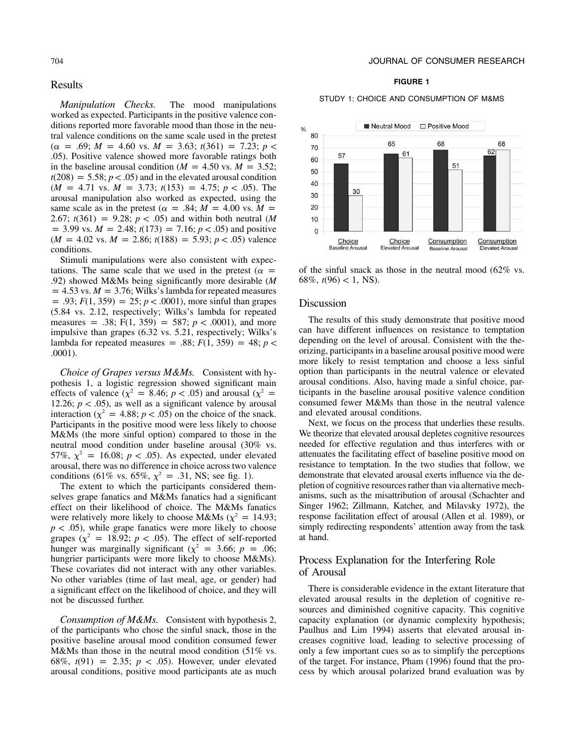## Results

*Manipulation Checks.* The mood manipulations worked as expected. Participants in the positive valence conditions reported more favorable mood than those in the neutral valence conditions on the same scale used in the pretest  $(\alpha = .69; M = 4.60 \text{ vs. } M = 3.63; t(361) = 7.23; p <$ .05). Positive valence showed more favorable ratings both in the baseline arousal condition ( $M = 4.50$  vs.  $M = 3.52$ ;  $t(208) = 5.58$ ;  $p < .05$ ) and in the elevated arousal condition  $(M = 4.71 \text{ vs. } M = 3.73; t(153) = 4.75; p < .05)$ . The arousal manipulation also worked as expected, using the same scale as in the pretest ( $\alpha$  = .84; *M* = 4.00 vs. *M* = 2.67;  $t(361) = 9.28$ ;  $p < .05$ ) and within both neutral (*M*  $p = 3.99$  vs.  $M = 2.48$ ;  $t(173) = 7.16$ ;  $p < .05$ ) and positive  $(M = 4.02 \text{ vs. } M = 2.86; t(188) = 5.93; p < .05) \text{ valence}$ conditions.

Stimuli manipulations were also consistent with expectations. The same scale that we used in the pretest ( $\alpha =$ .92) showed M&Ms being significantly more desirable (*M*  $p = 4.53$  vs.  $M = 3.76$ ; Wilks's lambda for repeated measures  $p = .93$ ;  $F(1, 359) = 25$ ;  $p < .0001$ ), more sinful than grapes (5.84 vs. 2.12, respectively; Wilks's lambda for repeated measures = .38;  $F(1, 359) = 587$ ;  $p < .0001$ ), and more impulsive than grapes (6.32 vs. 5.21, respectively; Wilks's lambda for repeated measures = .88;  $F(1, 359) = 48$ ;  $p <$ .0001).

*Choice of Grapes versus M&Ms.* Consistent with hypothesis 1, a logistic regression showed significant main effects of valence ( $\chi^2$  = 8.46; *p* < .05) and arousal ( $\chi^2$  = 12.26;  $p < .05$ ), as well as a significant valence by arousal interaction ( $\chi^2$  = 4.88; *p* < .05) on the choice of the snack. Participants in the positive mood were less likely to choose M&Ms (the more sinful option) compared to those in the neutral mood condition under baseline arousal (30% vs. 57%,  $\chi^2 = 16.08$ ;  $p < .05$ ). As expected, under elevated arousal, there was no difference in choice across two valence conditions (61% vs. 65%,  $\chi^2 = .31$ , NS; see fig. 1).

The extent to which the participants considered themselves grape fanatics and M&Ms fanatics had a significant effect on their likelihood of choice. The M&Ms fanatics were relatively more likely to choose M&Ms ( $\chi^2 = 14.93$ ;  $p < .05$ ), while grape fanatics were more likely to choose grapes ( $\chi^2$  = 18.92; *p* < .05). The effect of self-reported hunger was marginally significant ( $\chi^2$  = 3.66; *p* = .06; hungrier participants were more likely to choose M&Ms). These covariates did not interact with any other variables. No other variables (time of last meal, age, or gender) had a significant effect on the likelihood of choice, and they will not be discussed further.

*Consumption of M&Ms.* Consistent with hypothesis 2, of the participants who chose the sinful snack, those in the positive baseline arousal mood condition consumed fewer M&Ms than those in the neutral mood condition (51% vs. 68%,  $t(91) = 2.35$ ;  $p < .05$ ). However, under elevated arousal conditions, positive mood participants ate as much

#### **FIGURE 1**

#### STUDY 1: CHOICE AND CONSUMPTION OF M&MS



of the sinful snack as those in the neutral mood (62% vs. 68%,  $t(96) < 1$ , NS).

#### Discussion

The results of this study demonstrate that positive mood can have different influences on resistance to temptation depending on the level of arousal. Consistent with the theorizing, participants in a baseline arousal positive mood were more likely to resist temptation and choose a less sinful option than participants in the neutral valence or elevated arousal conditions. Also, having made a sinful choice, participants in the baseline arousal positive valence condition consumed fewer M&Ms than those in the neutral valence and elevated arousal conditions.

Next, we focus on the process that underlies these results. We theorize that elevated arousal depletes cognitive resources needed for effective regulation and thus interferes with or attenuates the facilitating effect of baseline positive mood on resistance to temptation. In the two studies that follow, we demonstrate that elevated arousal exerts influence via the depletion of cognitive resources rather than via alternative mechanisms, such as the misattribution of arousal (Schachter and Singer 1962; Zillmann, Katcher, and Milavsky 1972), the response facilitation effect of arousal (Allen et al. 1989), or simply redirecting respondents' attention away from the task at hand.

## Process Explanation for the Interfering Role of Arousal

There is considerable evidence in the extant literature that elevated arousal results in the depletion of cognitive resources and diminished cognitive capacity. This cognitive capacity explanation (or dynamic complexity hypothesis; Paulhus and Lim 1994) asserts that elevated arousal increases cognitive load, leading to selective processing of only a few important cues so as to simplify the perceptions of the target. For instance, Pham (1996) found that the process by which arousal polarized brand evaluation was by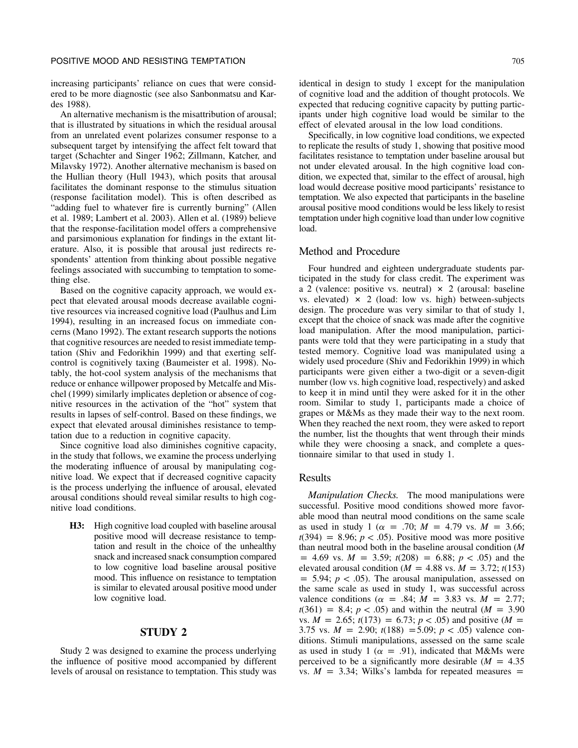increasing participants' reliance on cues that were considered to be more diagnostic (see also Sanbonmatsu and Kardes 1988).

An alternative mechanism is the misattribution of arousal; that is illustrated by situations in which the residual arousal from an unrelated event polarizes consumer response to a subsequent target by intensifying the affect felt toward that target (Schachter and Singer 1962; Zillmann, Katcher, and Milavsky 1972). Another alternative mechanism is based on the Hullian theory (Hull 1943), which posits that arousal facilitates the dominant response to the stimulus situation (response facilitation model). This is often described as "adding fuel to whatever fire is currently burning" (Allen et al. 1989; Lambert et al. 2003). Allen et al. (1989) believe that the response-facilitation model offers a comprehensive and parsimonious explanation for findings in the extant literature. Also, it is possible that arousal just redirects respondents' attention from thinking about possible negative feelings associated with succumbing to temptation to something else.

Based on the cognitive capacity approach, we would expect that elevated arousal moods decrease available cognitive resources via increased cognitive load (Paulhus and Lim 1994), resulting in an increased focus on immediate concerns (Mano 1992). The extant research supports the notions that cognitive resources are needed to resist immediate temptation (Shiv and Fedorikhin 1999) and that exerting selfcontrol is cognitively taxing (Baumeister et al. 1998). Notably, the hot-cool system analysis of the mechanisms that reduce or enhance willpower proposed by Metcalfe and Mischel (1999) similarly implicates depletion or absence of cognitive resources in the activation of the "hot" system that results in lapses of self-control. Based on these findings, we expect that elevated arousal diminishes resistance to temptation due to a reduction in cognitive capacity.

Since cognitive load also diminishes cognitive capacity, in the study that follows, we examine the process underlying the moderating influence of arousal by manipulating cognitive load. We expect that if decreased cognitive capacity is the process underlying the influence of arousal, elevated arousal conditions should reveal similar results to high cognitive load conditions.

**H3:** High cognitive load coupled with baseline arousal positive mood will decrease resistance to temptation and result in the choice of the unhealthy snack and increased snack consumption compared to low cognitive load baseline arousal positive mood. This influence on resistance to temptation is similar to elevated arousal positive mood under low cognitive load.

#### **STUDY 2**

Study 2 was designed to examine the process underlying the influence of positive mood accompanied by different levels of arousal on resistance to temptation. This study was identical in design to study 1 except for the manipulation of cognitive load and the addition of thought protocols. We expected that reducing cognitive capacity by putting participants under high cognitive load would be similar to the effect of elevated arousal in the low load conditions.

Specifically, in low cognitive load conditions, we expected to replicate the results of study 1, showing that positive mood facilitates resistance to temptation under baseline arousal but not under elevated arousal. In the high cognitive load condition, we expected that, similar to the effect of arousal, high load would decrease positive mood participants' resistance to temptation. We also expected that participants in the baseline arousal positive mood conditions would be less likely to resist temptation under high cognitive load than under low cognitive load.

## Method and Procedure

Four hundred and eighteen undergraduate students participated in the study for class credit. The experiment was a 2 (valence: positive vs. neutral)  $\times$  2 (arousal: baseline vs. elevated)  $\times$  2 (load: low vs. high) between-subjects design. The procedure was very similar to that of study 1, except that the choice of snack was made after the cognitive load manipulation. After the mood manipulation, participants were told that they were participating in a study that tested memory. Cognitive load was manipulated using a widely used procedure (Shiv and Fedorikhin 1999) in which participants were given either a two-digit or a seven-digit number (low vs. high cognitive load, respectively) and asked to keep it in mind until they were asked for it in the other room. Similar to study 1, participants made a choice of grapes or M&Ms as they made their way to the next room. When they reached the next room, they were asked to report the number, list the thoughts that went through their minds while they were choosing a snack, and complete a questionnaire similar to that used in study 1.

#### Results

*Manipulation Checks.* The mood manipulations were successful. Positive mood conditions showed more favorable mood than neutral mood conditions on the same scale as used in study 1 ( $\alpha$  = .70; *M* = 4.79 vs. *M* = 3.66;  $t(394) = 8.96$ ;  $p < .05$ ). Positive mood was more positive than neutral mood both in the baseline arousal condition (*M*  $= 4.69$  vs.  $M = 3.59$ ;  $t(208) = 6.88$ ;  $p < .05$ ) and the elevated arousal condition ( $M = 4.88$  vs.  $M = 3.72$ ;  $t(153)$ )  $= 5.94$ ;  $p < .05$ ). The arousal manipulation, assessed on the same scale as used in study 1, was successful across valence conditions ( $\alpha$  = .84; *M* = 3.83 vs. *M* = 2.77;  $t(361) = 8.4$ ;  $p < .05$ ) and within the neutral (*M* = 3.90) vs.  $M = 2.65$ ;  $t(173) = 6.73$ ;  $p < .05$ ) and positive (*M* = 3.75 vs.  $M = 2.90$ ;  $t(188) = 5.09$ ;  $p < .05$ ) valence conditions. Stimuli manipulations, assessed on the same scale as used in study 1 ( $\alpha = .91$ ), indicated that M&Ms were perceived to be a significantly more desirable  $(M = 4.35)$ vs.  $M = 3.34$ ; Wilks's lambda for repeated measures  $=$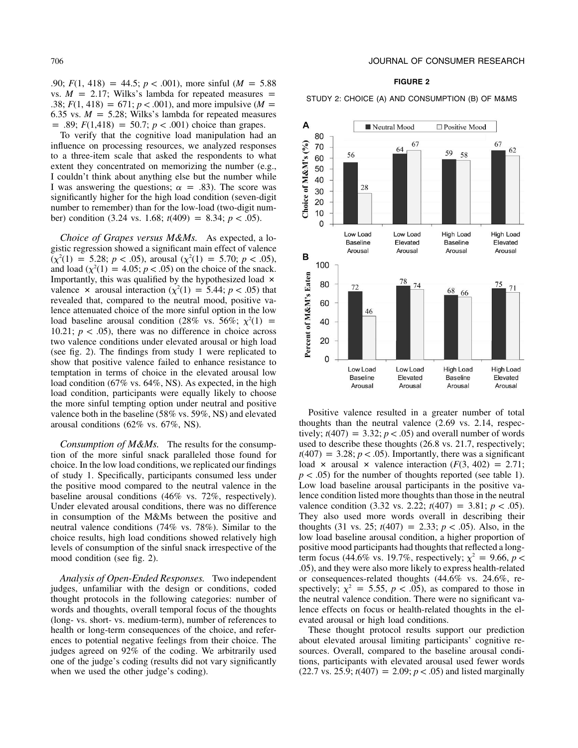.90;  $F(1, 418) = 44.5$ ;  $p < .001$ ), more sinful (*M* = 5.88) vs.  $M = 2.17$ ; Wilks's lambda for repeated measures  $=$ .38;  $F(1, 418) = 671$ ;  $p < .001$ ), and more impulsive (*M* = 6.35 vs.  $M = 5.28$ ; Wilks's lambda for repeated measures  $p = .89$ ;  $F(1,418) = 50.7$ ;  $p < .001$ ) choice than grapes.

To verify that the cognitive load manipulation had an influence on processing resources, we analyzed responses to a three-item scale that asked the respondents to what extent they concentrated on memorizing the number (e.g., I couldn't think about anything else but the number while I was answering the questions;  $\alpha = .83$ ). The score was significantly higher for the high load condition (seven-digit number to remember) than for the low-load (two-digit number) condition  $(3.24 \text{ vs. } 1.68; t(409) = 8.34; p < .05)$ .

*Choice of Grapes versus M&Ms.* As expected, a logistic regression showed a significant main effect of valence  $(\chi^2(1) = 5.28; p < .05)$ , arousal  $(\chi^2(1) = 5.70; p < .05)$ , and load  $(\chi^2(1) = 4.05; p < .05)$  on the choice of the snack. Importantly, this was qualified by the hypothesized load  $\times$ valence  $\times$  arousal interaction ( $\chi^2(1) = 5.44$ ;  $p < .05$ ) that revealed that, compared to the neutral mood, positive valence attenuated choice of the more sinful option in the low load baseline arousal condition (28% vs. 56%;  $\chi^2(1)$  = 10.21;  $p < .05$ ), there was no difference in choice across two valence conditions under elevated arousal or high load (see fig. 2). The findings from study 1 were replicated to show that positive valence failed to enhance resistance to temptation in terms of choice in the elevated arousal low load condition (67% vs. 64%, NS). As expected, in the high load condition, participants were equally likely to choose the more sinful tempting option under neutral and positive valence both in the baseline (58% vs. 59%, NS) and elevated arousal conditions (62% vs. 67%, NS).

*Consumption of M&Ms.* The results for the consumption of the more sinful snack paralleled those found for choice. In the low load conditions, we replicated our findings of study 1. Specifically, participants consumed less under the positive mood compared to the neutral valence in the baseline arousal conditions (46% vs. 72%, respectively). Under elevated arousal conditions, there was no difference in consumption of the M&Ms between the positive and neutral valence conditions (74% vs. 78%). Similar to the choice results, high load conditions showed relatively high levels of consumption of the sinful snack irrespective of the mood condition (see fig. 2).

*Analysis of Open-Ended Responses.* Two independent judges, unfamiliar with the design or conditions, coded thought protocols in the following categories: number of words and thoughts, overall temporal focus of the thoughts (long- vs. short- vs. medium-term), number of references to health or long-term consequences of the choice, and references to potential negative feelings from their choice. The judges agreed on 92% of the coding. We arbitrarily used one of the judge's coding (results did not vary significantly when we used the other judge's coding).

#### **FIGURE 2**

STUDY 2: CHOICE (A) AND CONSUMPTION (B) OF M&MS



Positive valence resulted in a greater number of total thoughts than the neutral valence (2.69 vs. 2.14, respectively;  $t(407) = 3.32$ ;  $p < .05$ ) and overall number of words used to describe these thoughts (26.8 vs. 21.7, respectively;  $t(407) = 3.28$ ;  $p < .05$ ). Importantly, there was a significant load  $\times$  arousal  $\times$  valence interaction ( $F(3, 402) = 2.71$ ;  $p < .05$ ) for the number of thoughts reported (see table 1). Low load baseline arousal participants in the positive valence condition listed more thoughts than those in the neutral valence condition (3.32 vs. 2.22;  $t(407) = 3.81$ ;  $p < .05$ ). They also used more words overall in describing their thoughts (31 vs. 25;  $t(407) = 2.33$ ;  $p < .05$ ). Also, in the low load baseline arousal condition, a higher proportion of positive mood participants had thoughts that reflected a longterm focus (44.6% vs. 19.7%, respectively;  $\chi^2 = 9.66$ ,  $p <$ .05), and they were also more likely to express health-related or consequences-related thoughts (44.6% vs. 24.6%, respectively;  $\chi^2 = 5.55$ ,  $p < .05$ ), as compared to those in the neutral valence condition. There were no significant valence effects on focus or health-related thoughts in the elevated arousal or high load conditions.

These thought protocol results support our prediction about elevated arousal limiting participants' cognitive resources. Overall, compared to the baseline arousal conditions, participants with elevated arousal used fewer words  $(22.7 \text{ vs. } 25.9; t(407) = 2.09; p < .05)$  and listed marginally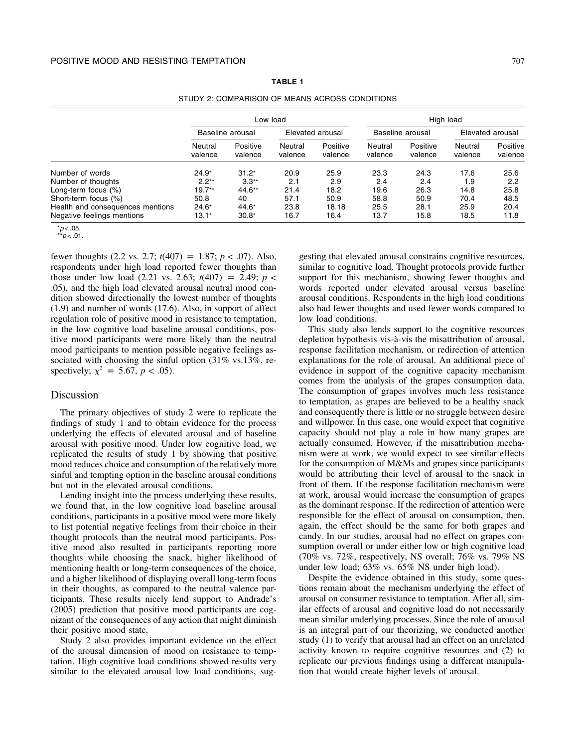|                                  | Low load           |                     |                    |                     | High load          |                     |                    |                     |
|----------------------------------|--------------------|---------------------|--------------------|---------------------|--------------------|---------------------|--------------------|---------------------|
|                                  | Baseline arousal   |                     | Elevated arousal   |                     | Baseline arousal   |                     | Elevated arousal   |                     |
|                                  | Neutral<br>valence | Positive<br>valence | Neutral<br>valence | Positive<br>valence | Neutral<br>valence | Positive<br>valence | Neutral<br>valence | Positive<br>valence |
| Number of words                  | $24.9*$            | $31.2*$             | 20.9               | 25.9                | 23.3               | 24.3                | 17.6               | 25.6                |
| Number of thoughts               | $2.2**$            | $3.3**$             | 2.1                | 2.9                 | 2.4                | 2.4                 | 1.9                | 2.2                 |
| Long-term focus (%)              | $19.7**$           | 44.6**              | 21.4               | 18.2                | 19.6               | 26.3                | 14.8               | 25.8                |
| Short-term focus (%)             | 50.8               | 40                  | 57.1               | 50.9                | 58.8               | 50.9                | 70.4               | 48.5                |
| Health and consequences mentions | $24.6*$            | 44.6*               | 23.8               | 18.18               | 25.5               | 28.1                | 25.9               | 20.4                |
| Negative feelings mentions       | $13.1*$            | $30.8*$             | 16.7               | 16.4                | 13.7               | 15.8                | 18.5               | 11.8                |

**TABLE 1**

STUDY 2: COMPARISON OF MEANS ACROSS CONDITIONS

 $*$ *p* < .05.

 $*$ *\*p* < .01.

fewer thoughts (2.2 vs. 2.7;  $t(407) = 1.87$ ;  $p < .07$ ). Also, respondents under high load reported fewer thoughts than those under low load (2.21 vs. 2.63;  $t(407) = 2.49$ ;  $p <$ .05), and the high load elevated arousal neutral mood condition showed directionally the lowest number of thoughts (1.9) and number of words (17.6). Also, in support of affect regulation role of positive mood in resistance to temptation, in the low cognitive load baseline arousal conditions, positive mood participants were more likely than the neutral mood participants to mention possible negative feelings associated with choosing the sinful option (31% vs.13%, respectively;  $\chi^2 = 5.67$ ,  $p < .05$ ).

## Discussion

The primary objectives of study 2 were to replicate the findings of study 1 and to obtain evidence for the process underlying the effects of elevated arousal and of baseline arousal with positive mood. Under low cognitive load, we replicated the results of study 1 by showing that positive mood reduces choice and consumption of the relatively more sinful and tempting option in the baseline arousal conditions but not in the elevated arousal conditions.

Lending insight into the process underlying these results, we found that, in the low cognitive load baseline arousal conditions, participants in a positive mood were more likely to list potential negative feelings from their choice in their thought protocols than the neutral mood participants. Positive mood also resulted in participants reporting more thoughts while choosing the snack, higher likelihood of mentioning health or long-term consequences of the choice, and a higher likelihood of displaying overall long-term focus in their thoughts, as compared to the neutral valence participants. These results nicely lend support to Andrade's (2005) prediction that positive mood participants are cognizant of the consequences of any action that might diminish their positive mood state.

Study 2 also provides important evidence on the effect of the arousal dimension of mood on resistance to temptation. High cognitive load conditions showed results very similar to the elevated arousal low load conditions, suggesting that elevated arousal constrains cognitive resources, similar to cognitive load. Thought protocols provide further support for this mechanism, showing fewer thoughts and words reported under elevated arousal versus baseline arousal conditions. Respondents in the high load conditions also had fewer thoughts and used fewer words compared to low load conditions.

This study also lends support to the cognitive resources depletion hypothesis vis-à-vis the misattribution of arousal, response facilitation mechanism, or redirection of attention explanations for the role of arousal. An additional piece of evidence in support of the cognitive capacity mechanism comes from the analysis of the grapes consumption data. The consumption of grapes involves much less resistance to temptation, as grapes are believed to be a healthy snack and consequently there is little or no struggle between desire and willpower. In this case, one would expect that cognitive capacity should not play a role in how many grapes are actually consumed. However, if the misattribution mechanism were at work, we would expect to see similar effects for the consumption of M&Ms and grapes since participants would be attributing their level of arousal to the snack in front of them. If the response facilitation mechanism were at work, arousal would increase the consumption of grapes as the dominant response. If the redirection of attention were responsible for the effect of arousal on consumption, then, again, the effect should be the same for both grapes and candy. In our studies, arousal had no effect on grapes consumption overall or under either low or high cognitive load (70% vs. 72%, respectively, NS overall; 76% vs. 79% NS under low load; 63% vs. 65% NS under high load).

Despite the evidence obtained in this study, some questions remain about the mechanism underlying the effect of arousal on consumer resistance to temptation. After all, similar effects of arousal and cognitive load do not necessarily mean similar underlying processes. Since the role of arousal is an integral part of our theorizing, we conducted another study (1) to verify that arousal had an effect on an unrelated activity known to require cognitive resources and (2) to replicate our previous findings using a different manipulation that would create higher levels of arousal.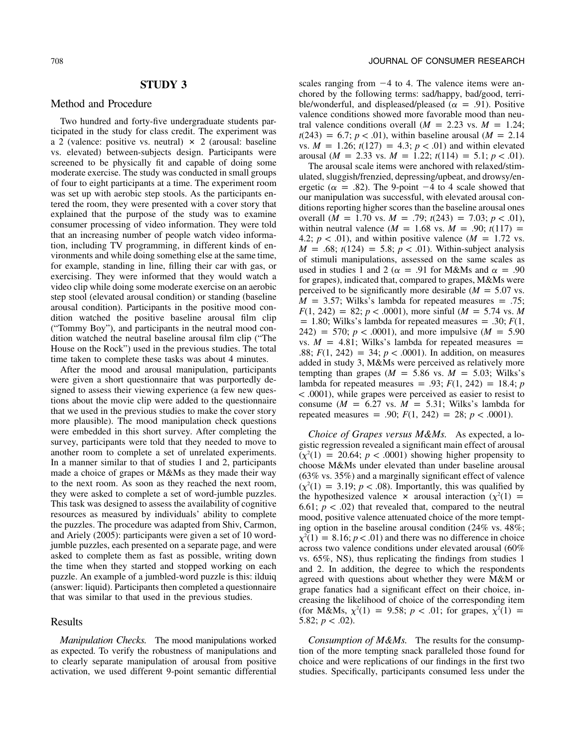## **STUDY 3**

## Method and Procedure

Two hundred and forty-five undergraduate students participated in the study for class credit. The experiment was a 2 (valence: positive vs. neutral)  $\times$  2 (arousal: baseline vs. elevated) between-subjects design. Participants were screened to be physically fit and capable of doing some moderate exercise. The study was conducted in small groups of four to eight participants at a time. The experiment room was set up with aerobic step stools. As the participants entered the room, they were presented with a cover story that explained that the purpose of the study was to examine consumer processing of video information. They were told that an increasing number of people watch video information, including TV programming, in different kinds of environments and while doing something else at the same time, for example, standing in line, filling their car with gas, or exercising. They were informed that they would watch a video clip while doing some moderate exercise on an aerobic step stool (elevated arousal condition) or standing (baseline arousal condition). Participants in the positive mood condition watched the positive baseline arousal film clip ("Tommy Boy"), and participants in the neutral mood condition watched the neutral baseline arousal film clip ("The House on the Rock") used in the previous studies. The total time taken to complete these tasks was about 4 minutes.

After the mood and arousal manipulation, participants were given a short questionnaire that was purportedly designed to assess their viewing experience (a few new questions about the movie clip were added to the questionnaire that we used in the previous studies to make the cover story more plausible). The mood manipulation check questions were embedded in this short survey. After completing the survey, participants were told that they needed to move to another room to complete a set of unrelated experiments. In a manner similar to that of studies 1 and 2, participants made a choice of grapes or M&Ms as they made their way to the next room. As soon as they reached the next room, they were asked to complete a set of word-jumble puzzles. This task was designed to assess the availability of cognitive resources as measured by individuals' ability to complete the puzzles. The procedure was adapted from Shiv, Carmon, and Ariely (2005): participants were given a set of 10 wordjumble puzzles, each presented on a separate page, and were asked to complete them as fast as possible, writing down the time when they started and stopped working on each puzzle. An example of a jumbled-word puzzle is this: ilduiq (answer: liquid). Participants then completed a questionnaire that was similar to that used in the previous studies.

## Results

*Manipulation Checks.* The mood manipulations worked as expected. To verify the robustness of manipulations and to clearly separate manipulation of arousal from positive activation, we used different 9-point semantic differential

scales ranging from  $-4$  to 4. The valence items were anchored by the following terms: sad/happy, bad/good, terrible/wonderful, and displeased/pleased ( $\alpha = .91$ ). Positive valence conditions showed more favorable mood than neutral valence conditions overall  $(M = 2.23$  vs.  $M = 1.24$ ;  $t(243) = 6.7; p < .01$ , within baseline arousal (*M* = 2.14) vs.  $M = 1.26$ ;  $t(127) = 4.3$ ;  $p < .01$ ) and within elevated arousal (*M* = 2.33 vs. *M* = 1.22;  $t(114) = 5.1$ ;  $p < .01$ ).

The arousal scale items were anchored with relaxed/stimulated, sluggish/frenzied, depressing/upbeat, and drowsy/energetic ( $\alpha$  = .82). The 9-point -4 to 4 scale showed that our manipulation was successful, with elevated arousal conditions reporting higher scores than the baseline arousal ones overall ( $\dot{M} = 1.70$  vs.  $M = .79$ ;  $t(243) = 7.03$ ;  $p < .01$ ), within neutral valence ( $M = 1.68$  vs.  $M = .90$ ;  $t(117) =$ 4.2;  $p < .01$ ), and within positive valence ( $M = 1.72$  vs.  $M = .68$ ;  $t(124) = 5.8$ ;  $p < .01$ ). Within-subject analysis of stimuli manipulations, assessed on the same scales as used in studies 1 and 2 ( $\alpha$  = .91 for M&Ms and  $\alpha$  = .90 for grapes), indicated that, compared to grapes, M&Ms were perceived to be significantly more desirable  $(M = 5.07 \text{ vs.})$  $M = 3.57$ ; Wilks's lambda for repeated measures  $= .75$ ;  $F(1, 242) = 82$ ;  $p < .0001$ ), more sinful (*M* = 5.74 vs. *M*  $= 1.80$ ; Wilks's lambda for repeated measures  $= .30$ ;  $F(1, 1)$ 242) = 570;  $p < .0001$ ), and more impulsive (*M* = 5.90) vs.  $M = 4.81$ ; Wilks's lambda for repeated measures  $=$ .88;  $F(1, 242) = 34$ ;  $p < .0001$ ). In addition, on measures added in study 3, M&Ms were perceived as relatively more tempting than grapes ( $M = 5.86$  vs.  $M = 5.03$ ; Wilks's lambda for repeated measures = .93;  $F(1, 242) = 18.4$ ; *p* ! .0001), while grapes were perceived as easier to resist to consume ( $M = 6.27$  vs.  $M = 5.31$ ; Wilks's lambda for repeated measures = .90;  $F(1, 242) = 28$ ;  $p < .0001$ ).

*Choice of Grapes versus M&Ms.* As expected, a logistic regression revealed a significant main effect of arousal  $(\chi^2(1) = 20.64; p < .0001)$  showing higher propensity to choose M&Ms under elevated than under baseline arousal (63% vs. 35%) and a marginally significant effect of valence  $(\chi^2(1) = 3.19; p < .08)$ . Importantly, this was qualified by the hypothesized valence  $\times$  arousal interaction ( $\chi^2(1) =$ 6.61;  $p < .02$ ) that revealed that, compared to the neutral mood, positive valence attenuated choice of the more tempting option in the baseline arousal condition (24% vs. 48%;  $\chi^2(1) = 8.16$ ;  $p < .01$ ) and there was no difference in choice across two valence conditions under elevated arousal (60% vs. 65%, NS), thus replicating the findings from studies 1 and 2. In addition, the degree to which the respondents agreed with questions about whether they were M&M or grape fanatics had a significant effect on their choice, increasing the likelihood of choice of the corresponding item (for M&Ms,  $\chi^2(1) = 9.58$ ;  $p < .01$ ; for grapes,  $\chi^2(1) =$ 5.82;  $p < .02$ ).

*Consumption of M&Ms.* The results for the consumption of the more tempting snack paralleled those found for choice and were replications of our findings in the first two studies. Specifically, participants consumed less under the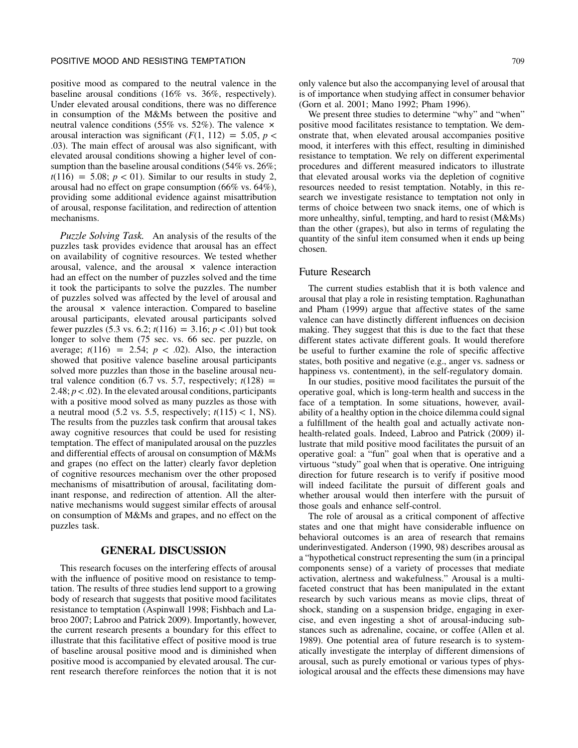positive mood as compared to the neutral valence in the baseline arousal conditions (16% vs. 36%, respectively). Under elevated arousal conditions, there was no difference in consumption of the M&Ms between the positive and neutral valence conditions (55% vs. 52%). The valence  $\times$ arousal interaction was significant  $(F(1, 112) = 5.05, p <$ .03). The main effect of arousal was also significant, with elevated arousal conditions showing a higher level of consumption than the baseline arousal conditions (54% vs. 26%;  $t(116) = 5.08$ ;  $p < 01$ ). Similar to our results in study 2, arousal had no effect on grape consumption (66% vs. 64%), providing some additional evidence against misattribution of arousal, response facilitation, and redirection of attention mechanisms.

*Puzzle Solving Task.* An analysis of the results of the puzzles task provides evidence that arousal has an effect on availability of cognitive resources. We tested whether arousal, valence, and the arousal  $\times$  valence interaction had an effect on the number of puzzles solved and the time it took the participants to solve the puzzles. The number of puzzles solved was affected by the level of arousal and the arousal  $\times$  valence interaction. Compared to baseline arousal participants, elevated arousal participants solved fewer puzzles (5.3 vs. 6.2;  $t(116) = 3.16$ ;  $p < .01$ ) but took longer to solve them (75 sec. vs. 66 sec. per puzzle, on average;  $t(116) = 2.54$ ;  $p < .02$ ). Also, the interaction showed that positive valence baseline arousal participants solved more puzzles than those in the baseline arousal neutral valence condition  $(6.7 \text{ vs. } 5.7, \text{ respectively}; t(128)) =$ 2.48;  $p < .02$ ). In the elevated arousal conditions, participants with a positive mood solved as many puzzles as those with a neutral mood  $(5.2 \text{ vs. } 5.5, \text{ respectively}; t(115) < 1, \text{ NS}).$ The results from the puzzles task confirm that arousal takes away cognitive resources that could be used for resisting temptation. The effect of manipulated arousal on the puzzles and differential effects of arousal on consumption of M&Ms and grapes (no effect on the latter) clearly favor depletion of cognitive resources mechanism over the other proposed mechanisms of misattribution of arousal, facilitating dominant response, and redirection of attention. All the alternative mechanisms would suggest similar effects of arousal on consumption of M&Ms and grapes, and no effect on the puzzles task.

## **GENERAL DISCUSSION**

This research focuses on the interfering effects of arousal with the influence of positive mood on resistance to temptation. The results of three studies lend support to a growing body of research that suggests that positive mood facilitates resistance to temptation (Aspinwall 1998; Fishbach and Labroo 2007; Labroo and Patrick 2009). Importantly, however, the current research presents a boundary for this effect to illustrate that this facilitative effect of positive mood is true of baseline arousal positive mood and is diminished when positive mood is accompanied by elevated arousal. The current research therefore reinforces the notion that it is not only valence but also the accompanying level of arousal that is of importance when studying affect in consumer behavior (Gorn et al. 2001; Mano 1992; Pham 1996).

We present three studies to determine "why" and "when" positive mood facilitates resistance to temptation. We demonstrate that, when elevated arousal accompanies positive mood, it interferes with this effect, resulting in diminished resistance to temptation. We rely on different experimental procedures and different measured indicators to illustrate that elevated arousal works via the depletion of cognitive resources needed to resist temptation. Notably, in this research we investigate resistance to temptation not only in terms of choice between two snack items, one of which is more unhealthy, sinful, tempting, and hard to resist (M&Ms) than the other (grapes), but also in terms of regulating the quantity of the sinful item consumed when it ends up being chosen.

## Future Research

The current studies establish that it is both valence and arousal that play a role in resisting temptation. Raghunathan and Pham (1999) argue that affective states of the same valence can have distinctly different influences on decision making. They suggest that this is due to the fact that these different states activate different goals. It would therefore be useful to further examine the role of specific affective states, both positive and negative (e.g., anger vs. sadness or happiness vs. contentment), in the self-regulatory domain.

In our studies, positive mood facilitates the pursuit of the operative goal, which is long-term health and success in the face of a temptation. In some situations, however, availability of a healthy option in the choice dilemma could signal a fulfillment of the health goal and actually activate nonhealth-related goals. Indeed, Labroo and Patrick (2009) illustrate that mild positive mood facilitates the pursuit of an operative goal: a "fun" goal when that is operative and a virtuous "study" goal when that is operative. One intriguing direction for future research is to verify if positive mood will indeed facilitate the pursuit of different goals and whether arousal would then interfere with the pursuit of those goals and enhance self-control.

The role of arousal as a critical component of affective states and one that might have considerable influence on behavioral outcomes is an area of research that remains underinvestigated. Anderson (1990, 98) describes arousal as a "hypothetical construct representing the sum (in a principal components sense) of a variety of processes that mediate activation, alertness and wakefulness." Arousal is a multifaceted construct that has been manipulated in the extant research by such various means as movie clips, threat of shock, standing on a suspension bridge, engaging in exercise, and even ingesting a shot of arousal-inducing substances such as adrenaline, cocaine, or coffee (Allen et al. 1989). One potential area of future research is to systematically investigate the interplay of different dimensions of arousal, such as purely emotional or various types of physiological arousal and the effects these dimensions may have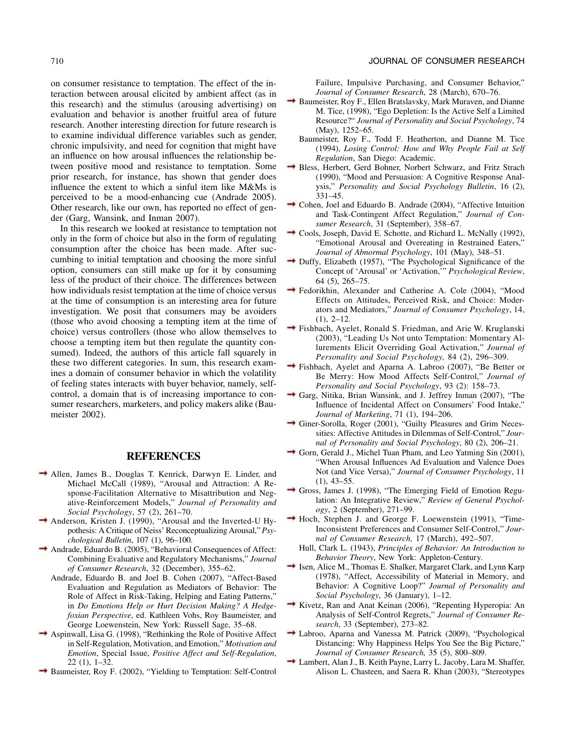on consumer resistance to temptation. The effect of the interaction between arousal elicited by ambient affect (as in this research) and the stimulus (arousing advertising) on evaluation and behavior is another fruitful area of future research. Another interesting direction for future research is to examine individual difference variables such as gender, chronic impulsivity, and need for cognition that might have an influence on how arousal influences the relationship between positive mood and resistance to temptation. Some prior research, for instance, has shown that gender does influence the extent to which a sinful item like M&Ms is perceived to be a mood-enhancing cue (Andrade 2005). Other research, like our own, has reported no effect of gender (Garg, Wansink, and Inman 2007).

In this research we looked at resistance to temptation not only in the form of choice but also in the form of regulating consumption after the choice has been made. After succumbing to initial temptation and choosing the more sinful option, consumers can still make up for it by consuming less of the product of their choice. The differences between how individuals resist temptation at the time of choice versus at the time of consumption is an interesting area for future investigation. We posit that consumers may be avoiders (those who avoid choosing a tempting item at the time of choice) versus controllers (those who allow themselves to choose a tempting item but then regulate the quantity consumed). Indeed, the authors of this article fall squarely in these two different categories. In sum, this research examines a domain of consumer behavior in which the volatility of feeling states interacts with buyer behavior, namely, selfcontrol, a domain that is of increasing importance to consumer researchers, marketers, and policy makers alike (Baumeister 2002).

## **REFERENCES**

- Allen, James B., Douglas T. Kenrick, Darwyn E. Linder, and Michael McCall (1989), "Arousal and Attraction: A Response-Facilitation Alternative to Misattribution and Negative-Reinforcement Models," *Journal of Personality and Social Psychology*, 57 (2), 261–70.
- Anderson, Kristen J. (1990), "Arousal and the Inverted-U Hypothesis: A Critique of Neiss' Reconceptualizing Arousal,"*Psychological Bulletin*, 107 (1), 96–100.
- Andrade, Eduardo B. (2005), "Behavioral Consequences of Affect: Combining Evaluative and Regulatory Mechanisms," *Journal of Consumer Research*, 32 (December), 355–62.
	- Andrade, Eduardo B. and Joel B. Cohen (2007), "Affect-Based Evaluation and Regulation as Mediators of Behavior: The Role of Affect in Risk-Taking, Helping and Eating Patterns," in *Do Emotions Help or Hurt Decision Making? A Hedgefoxian Perspective*, ed. Kathleen Vohs, Roy Baumeister, and George Loewenstein, New York: Russell Sage, 35–68.
- Aspinwall, Lisa G. (1998), "Rethinking the Role of Positive Affect in Self-Regulation, Motivation, and Emotion," *Motivation and Emotion*, Special Issue, *Positive Affect and Self-Regulation*, 22 (1), 1–32.
- Baumeister, Roy F. (2002), "Yielding to Temptation: Self-Control

Failure, Impulsive Purchasing, and Consumer Behavior," *Journal of Consumer Research*, 28 (March), 670–76.

- **→ Baumeister, Roy F., Ellen Bratslavsky, Mark Muraven, and Dianne** M. Tice, (1998), "Ego Depletion: Is the Active Self a Limited Resource?" *Journal of Personality and Social Psychology*, 74 (May), 1252–65.
	- Baumeister, Roy F., Todd F. Heatherton, and Dianne M. Tice (1994), *Losing Control: How and Why People Fail at Self Regulation*, San Diego: Academic.
- → Bless, Herbert, Gerd Bohner, Norbert Schwarz, and Fritz Strach (1990), "Mood and Persuasion: A Cognitive Response Analysis," *Personality and Social Psychology Bulletin*, 16 (2), 331–45.
- Cohen, Joel and Eduardo B. Andrade (2004), "Affective Intuition and Task-Contingent Affect Regulation," *Journal of Consumer Research*, 31 (September), 358–67.
- Cools, Joseph, David E. Schotte, and Richard L. McNally (1992), "Emotional Arousal and Overeating in Restrained Eaters," *Journal of Abnormal Psychology*, 101 (May), 348–51.
- → Duffy, Elizabeth (1957), "The Psychological Significance of the Concept of 'Arousal' or 'Activation,'" *Psychological Review*, 64 (5), 265–75.
- Fedorikhin, Alexander and Catherine A. Cole (2004), "Mood Effects on Attitudes, Perceived Risk, and Choice: Moderators and Mediators," *Journal of Consumer Psychology*, 14,  $(1), 2-12.$
- Fishbach, Ayelet, Ronald S. Friedman, and Arie W. Kruglanski (2003), "Leading Us Not unto Temptation: Momentary Allurements Elicit Overriding Goal Activation," *Journal of Personality and Social Psychology,* 84 (2), 296–309.
- Fishbach, Ayelet and Aparna A. Labroo (2007), "Be Better or Be Merry: How Mood Affects Self-Control," *Journal of Personality and Social Psychology*, 93 (2): 158–73.
- Garg, Nitika, Brian Wansink, and J. Jeffrey Inman (2007), "The Influence of Incidental Affect on Consumers' Food Intake," *Journal of Marketing*, 71 (1), 194–206.
- Giner-Sorolla, Roger (2001), "Guilty Pleasures and Grim Necessities: Affective Attitudes in Dilemmas of Self-Control," *Journal of Personality and Social Psychology*, 80 (2), 206–21.
- Gorn, Gerald J., Michel Tuan Pham, and Leo Yatming Sin (2001), "When Arousal Influences Ad Evaluation and Valence Does Not (and Vice Versa)," *Journal of Consumer Psychology*, 11 (1), 43–55.
- Gross, James J. (1998), "The Emerging Field of Emotion Regulation: An Integrative Review," *Review of General Psychology*, 2 (September), 271–99.
- Hoch, Stephen J. and George F. Loewenstein (1991), "Time-Inconsistent Preferences and Consumer Self-Control," *Journal of Consumer Research,* 17 (March), 492–507.
	- Hull, Clark L. (1943), *Principles of Behavior: An Introduction to Behavior Theory*, New York: Appleton-Century.
- → Isen, Alice M., Thomas E. Shalker, Margaret Clark, and Lynn Karp (1978), "Affect, Accessibility of Material in Memory, and Behavior: A Cognitive Loop?" *Journal of Personality and Social Psychology*, 36 (January), 1–12.
- Kivetz, Ran and Anat Keinan (2006), "Repenting Hyperopia: An Analysis of Self-Control Regrets," *Journal of Consumer Research*, 33 (September), 273–82.
- Labroo, Aparna and Vanessa M. Patrick (2009), "Psychological Distancing: Why Happiness Helps You See the Big Picture,' *Journal of Consumer Research,* 35 (5), 800–809.
- Lambert, Alan J., B. Keith Payne, Larry L. Jacoby, Lara M. Shaffer, Alison L. Chasteen, and Saera R. Khan (2003), "Stereotypes